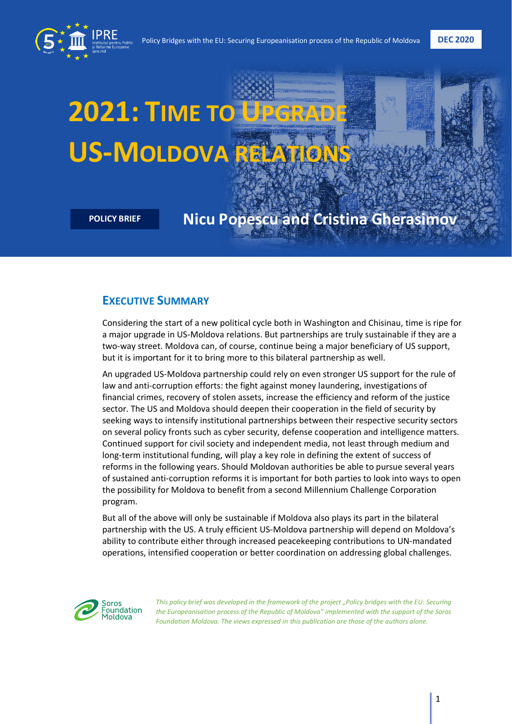

# **2021: TIME TO UPGRADE US-MOLDOVA RELAT**

# **POLICY BRIEF Nicu Popescu and Cristina Gherasimov**

# **EXECUTIVE SUMMARY**

Considering the start of a new political cycle both in Washington and Chisinau, time is ripe for a major upgrade in US-Moldova relations. But partnerships are truly sustainable if they are a two-way street. Moldova can, of course, continue being a major beneficiary of US support, but it is important for it to bring more to this bilateral partnership as well.

An upgraded US-Moldova partnership could rely on even stronger US support for the rule of law and anti-corruption efforts: the fight against money laundering, investigations of financial crimes, recovery of stolen assets, increase the efficiency and reform of the justice sector. The US and Moldova should deepen their cooperation in the field of security by seeking ways to intensify institutional partnerships between their respective security sectors on several policy fronts such as cyber security, defense cooperation and intelligence matters. Continued support for civil society and independent media, not least through medium and long-term institutional funding, will play a key role in defining the extent of success of reforms in the following years. Should Moldovan authorities be able to pursue several years of sustained anti-corruption reforms it is important for both parties to look into ways to open the possibility for Moldova to benefit from a second Millennium Challenge Corporation program.

But all of the above will only be sustainable if Moldova also plays its part in the bilateral partnership with the US. A truly efficient US-Moldova partnership will depend on Moldova's ability to contribute either through increased peacekeeping contributions to UN-mandated operations, intensified cooperation or better coordination on addressing global challenges.



*This policy brief was developed in the framework of the project "Policy bridges with the EU: Securing the Europeanisation process of the Republic of Moldova" implemented with the support of the Soros Foundation Moldova. The views expressed in this publication are those of the authors alone.*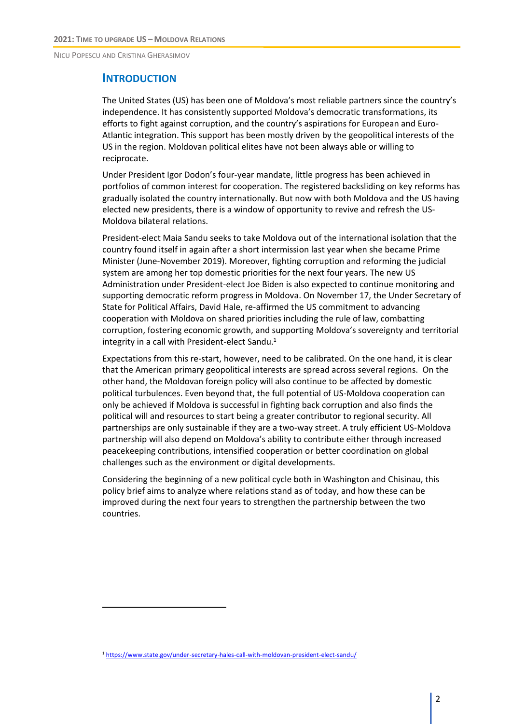#### **INTRODUCTION**

The United States (US) has been one of Moldova's most reliable partners since the country's independence. It has consistently supported Moldova's democratic transformations, its efforts to fight against corruption, and the country's aspirations for European and Euro-Atlantic integration. This support has been mostly driven by the geopolitical interests of the US in the region. Moldovan political elites have not been always able or willing to reciprocate.

Under President Igor Dodon's four-year mandate, little progress has been achieved in portfolios of common interest for cooperation. The registered backsliding on key reforms has gradually isolated the country internationally. But now with both Moldova and the US having elected new presidents, there is a window of opportunity to revive and refresh the US-Moldova bilateral relations.

President-elect Maia Sandu seeks to take Moldova out of the international isolation that the country found itself in again after a short intermission last year when she became Prime Minister (June-November 2019). Moreover, fighting corruption and reforming the judicial system are among her top domestic priorities for the next four years. The new US Administration under President-elect Joe Biden is also expected to continue monitoring and supporting democratic reform progress in Moldova. On November 17, the Under Secretary of State for Political Affairs, David Hale, re-affirmed the US commitment to advancing cooperation with Moldova on shared priorities including the rule of law, combatting corruption, fostering economic growth, and supporting Moldova's sovereignty and territorial integrity in a call with President-elect Sandu.<sup>1</sup>

Expectations from this re-start, however, need to be calibrated. On the one hand, it is clear that the American primary geopolitical interests are spread across several regions. On the other hand, the Moldovan foreign policy will also continue to be affected by domestic political turbulences. Even beyond that, the full potential of US-Moldova cooperation can only be achieved if Moldova is successful in fighting back corruption and also finds the political will and resources to start being a greater contributor to regional security. All partnerships are only sustainable if they are a two-way street. A truly efficient US-Moldova partnership will also depend on Moldova's ability to contribute either through increased peacekeeping contributions, intensified cooperation or better coordination on global challenges such as the environment or digital developments.

Considering the beginning of a new political cycle both in Washington and Chisinau, this policy brief aims to analyze where relations stand as of today, and how these can be improved during the next four years to strengthen the partnership between the two countries.

<sup>1</sup> <https://www.state.gov/under-secretary-hales-call-with-moldovan-president-elect-sandu/>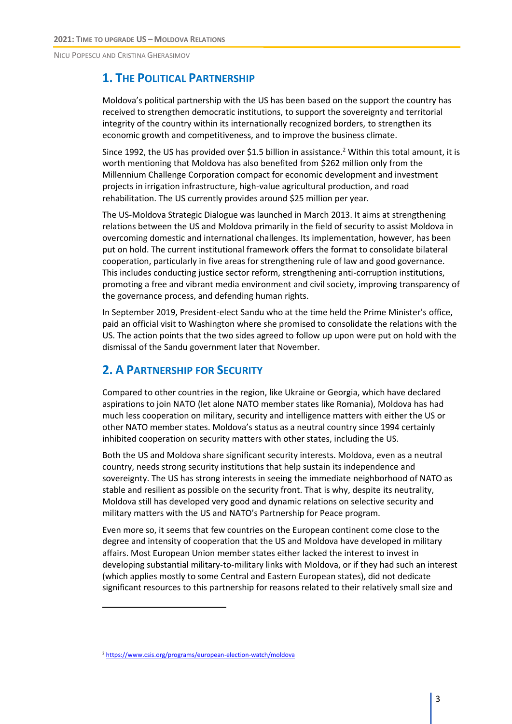# **1. THE POLITICAL PARTNERSHIP**

Moldova's political partnership with the US has been based on the support the country has received to strengthen democratic institutions, to support the sovereignty and territorial integrity of the country within its internationally recognized borders, to strengthen its economic growth and competitiveness, and to improve the business climate.

Since 1992, the US has provided over \$1.5 billion in assistance.<sup>2</sup> Within this total amount, it is worth mentioning that Moldova has also benefited from \$262 million only from the Millennium Challenge Corporation compact for economic development and investment projects in irrigation infrastructure, high-value agricultural production, and road rehabilitation. The US currently provides around \$25 million per year.

The US-Moldova Strategic Dialogue was launched in March 2013. It aims at strengthening relations between the US and Moldova primarily in the field of security to assist Moldova in overcoming domestic and international challenges. Its implementation, however, has been put on hold. The current institutional framework offers the format to consolidate bilateral cooperation, particularly in five areas for strengthening rule of law and good governance. This includes conducting justice sector reform, strengthening anti-corruption institutions, promoting a free and vibrant media environment and civil society, improving transparency of the governance process, and defending human rights.

In September 2019, President-elect Sandu who at the time held the Prime Minister's office, paid an official visit to Washington where she promised to consolidate the relations with the US. The action points that the two sides agreed to follow up upon were put on hold with the dismissal of the Sandu government later that November.

# **2. A PARTNERSHIP FOR SECURITY**

Compared to other countries in the region, like Ukraine or Georgia, which have declared aspirations to join NATO (let alone NATO member states like Romania), Moldova has had much less cooperation on military, security and intelligence matters with either the US or other NATO member states. Moldova's status as a neutral country since 1994 certainly inhibited cooperation on security matters with other states, including the US.

Both the US and Moldova share significant security interests. Moldova, even as a neutral country, needs strong security institutions that help sustain its independence and sovereignty. The US has strong interests in seeing the immediate neighborhood of NATO as stable and resilient as possible on the security front. That is why, despite its neutrality, Moldova still has developed very good and dynamic relations on selective security and military matters with the US and NATO's Partnership for Peace program.

Even more so, it seems that few countries on the European continent come close to the degree and intensity of cooperation that the US and Moldova have developed in military affairs. Most European Union member states either lacked the interest to invest in developing substantial military-to-military links with Moldova, or if they had such an interest (which applies mostly to some Central and Eastern European states), did not dedicate significant resources to this partnership for reasons related to their relatively small size and

<sup>2</sup> <https://www.csis.org/programs/european-election-watch/moldova>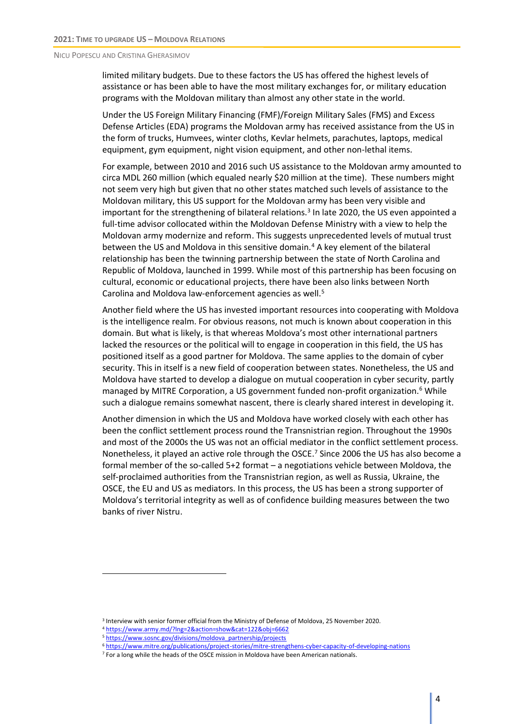limited military budgets. Due to these factors the US has offered the highest levels of assistance or has been able to have the most military exchanges for, or military education programs with the Moldovan military than almost any other state in the world.

Under the US Foreign Military Financing (FMF)/Foreign Military Sales (FMS) and Excess Defense Articles (EDA) programs the Moldovan army has received assistance from the US in the form of trucks, Humvees, winter cloths, Kevlar helmets, parachutes, laptops, medical equipment, gym equipment, night vision equipment, and other non-lethal items.

For example, between 2010 and 2016 such US assistance to the Moldovan army amounted to circa MDL 260 million (which equaled nearly \$20 million at the time). These numbers might not seem very high but given that no other states matched such levels of assistance to the Moldovan military, this US support for the Moldovan army has been very visible and important for the strengthening of bilateral relations.<sup>3</sup> In late 2020, the US even appointed a full-time advisor collocated within the Moldovan Defense Ministry with a view to help the Moldovan army modernize and reform. This suggests unprecedented levels of mutual trust between the US and Moldova in this sensitive domain.<sup>4</sup> A key element of the bilateral relationship has been the twinning partnership between the state of North Carolina and Republic of Moldova, launched in 1999. While most of this partnership has been focusing on cultural, economic or educational projects, there have been also links between North Carolina and Moldova law-enforcement agencies as well.<sup>5</sup>

Another field where the US has invested important resources into cooperating with Moldova is the intelligence realm. For obvious reasons, not much is known about cooperation in this domain. But what is likely, is that whereas Moldova's most other international partners lacked the resources or the political will to engage in cooperation in this field, the US has positioned itself as a good partner for Moldova. The same applies to the domain of cyber security. This in itself is a new field of cooperation between states. Nonetheless, the US and Moldova have started to develop a dialogue on mutual cooperation in cyber security, partly managed by MITRE Corporation, a US government funded non-profit organization.<sup>6</sup> While such a dialogue remains somewhat nascent, there is clearly shared interest in developing it.

Another dimension in which the US and Moldova have worked closely with each other has been the conflict settlement process round the Transnistrian region. Throughout the 1990s and most of the 2000s the US was not an official mediator in the conflict settlement process. Nonetheless, it played an active role through the OSCE.<sup>7</sup> Since 2006 the US has also become a formal member of the so-called 5+2 format – a negotiations vehicle between Moldova, the self-proclaimed authorities from the Transnistrian region, as well as Russia, Ukraine, the OSCE, the EU and US as mediators. In this process, the US has been a strong supporter of Moldova's territorial integrity as well as of confidence building measures between the two banks of river Nistru.

<sup>3</sup> Interview with senior former official from the Ministry of Defense of Moldova, 25 November 2020.

<sup>4</sup> <https://www.army.md/?lng=2&action=show&cat=122&obj=6662>

<sup>&</sup>lt;sup>5</sup> [https://www.sosnc.gov/divisions/moldova\\_partnership/projects](https://www.sosnc.gov/divisions/moldova_partnership/projects)

<sup>6</sup> <https://www.mitre.org/publications/project-stories/mitre-strengthens-cyber-capacity-of-developing-nations>

 $<sup>7</sup>$  For a long while the heads of the OSCE mission in Moldova have been American nationals.</sup>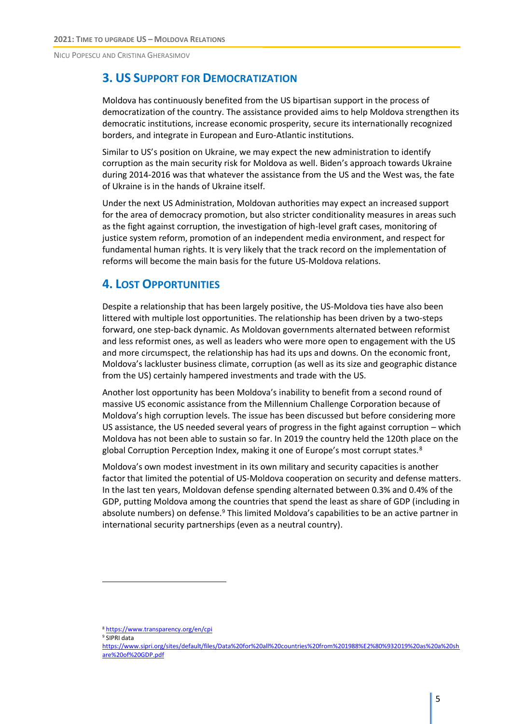### **3. US SUPPORT FOR DEMOCRATIZATION**

Moldova has continuously benefited from the US bipartisan support in the process of democratization of the country. The assistance provided aims to help Moldova strengthen its democratic institutions, increase economic prosperity, secure its internationally recognized borders, and integrate in European and Euro-Atlantic institutions.

Similar to US's position on Ukraine, we may expect the new administration to identify corruption as the main security risk for Moldova as well. Biden's approach towards Ukraine during 2014-2016 was that whatever the assistance from the US and the West was, the fate of Ukraine is in the hands of Ukraine itself.

Under the next US Administration, Moldovan authorities may expect an increased support for the area of democracy promotion, but also stricter conditionality measures in areas such as the fight against corruption, the investigation of high-level graft cases, monitoring of justice system reform, promotion of an independent media environment, and respect for fundamental human rights. It is very likely that the track record on the implementation of reforms will become the main basis for the future US-Moldova relations.

# **4. LOST OPPORTUNITIES**

Despite a relationship that has been largely positive, the US-Moldova ties have also been littered with multiple lost opportunities. The relationship has been driven by a two-steps forward, one step-back dynamic. As Moldovan governments alternated between reformist and less reformist ones, as well as leaders who were more open to engagement with the US and more circumspect, the relationship has had its ups and downs. On the economic front, Moldova's lackluster business climate, corruption (as well as its size and geographic distance from the US) certainly hampered investments and trade with the US.

Another lost opportunity has been Moldova's inability to benefit from a second round of massive US economic assistance from the Millennium Challenge Corporation because of Moldova's high corruption levels. The issue has been discussed but before considering more US assistance, the US needed several years of progress in the fight against corruption – which Moldova has not been able to sustain so far. In 2019 the country held the 120th place on the global Corruption Perception Index, making it one of Europe's most corrupt states.<sup>8</sup>

Moldova's own modest investment in its own military and security capacities is another factor that limited the potential of US-Moldova cooperation on security and defense matters. In the last ten years, Moldovan defense spending alternated between 0.3% and 0.4% of the GDP, putting Moldova among the countries that spend the least as share of GDP (including in absolute numbers) on defense.<sup>9</sup> This limited Moldova's capabilities to be an active partner in international security partnerships (even as a neutral country).

<sup>9</sup> SIPRI data

<sup>8</sup> <https://www.transparency.org/en/cpi>

[https://www.sipri.org/sites/default/files/Data%20for%20all%20countries%20from%201988%E2%80%932019%20as%20a%20sh](https://www.sipri.org/sites/default/files/Data%20for%20all%20countries%20from%201988%E2%80%932019%20as%20a%20share%20of%20GDP.pdf) [are%20of%20GDP.pdf](https://www.sipri.org/sites/default/files/Data%20for%20all%20countries%20from%201988%E2%80%932019%20as%20a%20share%20of%20GDP.pdf)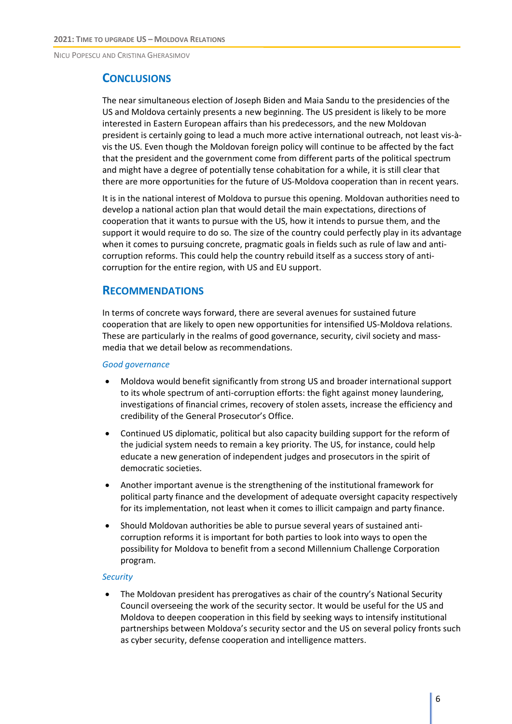#### **CONCLUSIONS**

The near simultaneous election of Joseph Biden and Maia Sandu to the presidencies of the US and Moldova certainly presents a new beginning. The US president is likely to be more interested in Eastern European affairs than his predecessors, and the new Moldovan president is certainly going to lead a much more active international outreach, not least vis-àvis the US. Even though the Moldovan foreign policy will continue to be affected by the fact that the president and the government come from different parts of the political spectrum and might have a degree of potentially tense cohabitation for a while, it is still clear that there are more opportunities for the future of US-Moldova cooperation than in recent years.

It is in the national interest of Moldova to pursue this opening. Moldovan authorities need to develop a national action plan that would detail the main expectations, directions of cooperation that it wants to pursue with the US, how it intends to pursue them, and the support it would require to do so. The size of the country could perfectly play in its advantage when it comes to pursuing concrete, pragmatic goals in fields such as rule of law and anticorruption reforms. This could help the country rebuild itself as a success story of anticorruption for the entire region, with US and EU support.

#### **RECOMMENDATIONS**

In terms of concrete ways forward, there are several avenues for sustained future cooperation that are likely to open new opportunities for intensified US-Moldova relations. These are particularly in the realms of good governance, security, civil society and massmedia that we detail below as recommendations.

#### *Good governance*

- Moldova would benefit significantly from strong US and broader international support to its whole spectrum of anti-corruption efforts: the fight against money laundering, investigations of financial crimes, recovery of stolen assets, increase the efficiency and credibility of the General Prosecutor's Office.
- Continued US diplomatic, political but also capacity building support for the reform of the judicial system needs to remain a key priority. The US, for instance, could help educate a new generation of independent judges and prosecutors in the spirit of democratic societies.
- Another important avenue is the strengthening of the institutional framework for political party finance and the development of adequate oversight capacity respectively for its implementation, not least when it comes to illicit campaign and party finance.
- Should Moldovan authorities be able to pursue several years of sustained anticorruption reforms it is important for both parties to look into ways to open the possibility for Moldova to benefit from a second Millennium Challenge Corporation program.

#### *Security*

• The Moldovan president has prerogatives as chair of the country's National Security Council overseeing the work of the security sector. It would be useful for the US and Moldova to deepen cooperation in this field by seeking ways to intensify institutional partnerships between Moldova's security sector and the US on several policy fronts such as cyber security, defense cooperation and intelligence matters.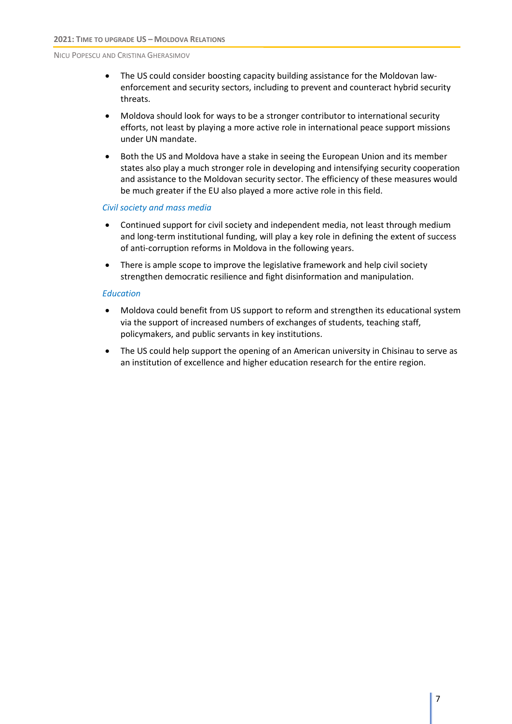- The US could consider boosting capacity building assistance for the Moldovan lawenforcement and security sectors, including to prevent and counteract hybrid security threats.
- Moldova should look for ways to be a stronger contributor to international security efforts, not least by playing a more active role in international peace support missions under UN mandate.
- Both the US and Moldova have a stake in seeing the European Union and its member states also play a much stronger role in developing and intensifying security cooperation and assistance to the Moldovan security sector. The efficiency of these measures would be much greater if the EU also played a more active role in this field.

#### *Civil society and mass media*

- Continued support for civil society and independent media, not least through medium and long-term institutional funding, will play a key role in defining the extent of success of anti-corruption reforms in Moldova in the following years.
- There is ample scope to improve the legislative framework and help civil society strengthen democratic resilience and fight disinformation and manipulation.

#### *Education*

- Moldova could benefit from US support to reform and strengthen its educational system via the support of increased numbers of exchanges of students, teaching staff, policymakers, and public servants in key institutions.
- The US could help support the opening of an American university in Chisinau to serve as an institution of excellence and higher education research for the entire region.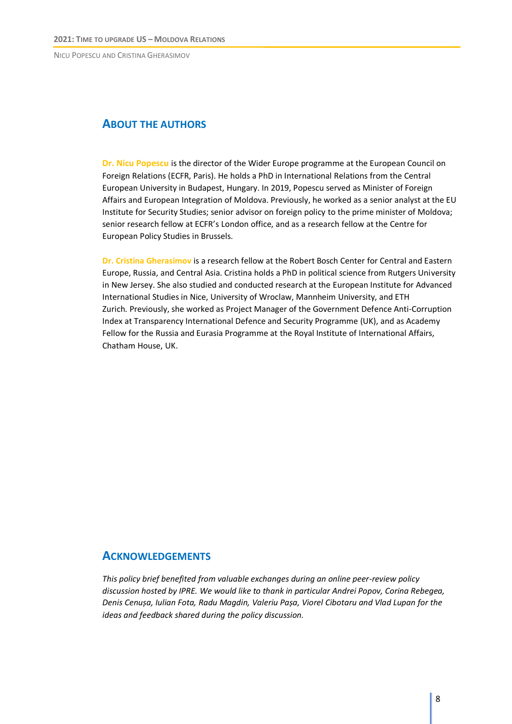#### **ABOUT THE AUTHORS**

**Dr. Nicu Popescu** is the director of the Wider Europe programme at the European Council on Foreign Relations (ECFR, Paris). He holds a PhD in International Relations from the Central European University in Budapest, Hungary. In 2019, Popescu served as Minister of Foreign Affairs and European Integration of Moldova. Previously, he worked as a senior analyst at the EU Institute for Security Studies; senior advisor on foreign policy to the prime minister of Moldova; senior research fellow at ECFR's London office, and as a research fellow at the Centre for European Policy Studies in Brussels.

**Dr. Cristina Gherasimov** is a research fellow at the Robert Bosch Center for Central and Eastern Europe, Russia, and Central Asia. Cristina holds a PhD in political science from Rutgers University in New Jersey. She also studied and conducted research at the European Institute for Advanced International Studies in Nice, University of Wroclaw, Mannheim University, and ETH Zurich. Previously, she worked as Project Manager of the Government Defence Anti-Corruption Index at Transparency International Defence and Security Programme (UK), and as Academy Fellow for the Russia and Eurasia Programme at the Royal Institute of International Affairs, Chatham House, UK.

#### **ACKNOWLEDGEMENTS**

*This policy brief benefited from valuable exchanges during an online peer-review policy discussion hosted by IPRE. We would like to thank in particular Andrei Popov, Corina Rebegea, Denis Cenușa, Iulian Fota, Radu Magdin, Valeriu Pașa, Viorel Cibotaru and Vlad Lupan for the ideas and feedback shared during the policy discussion.*